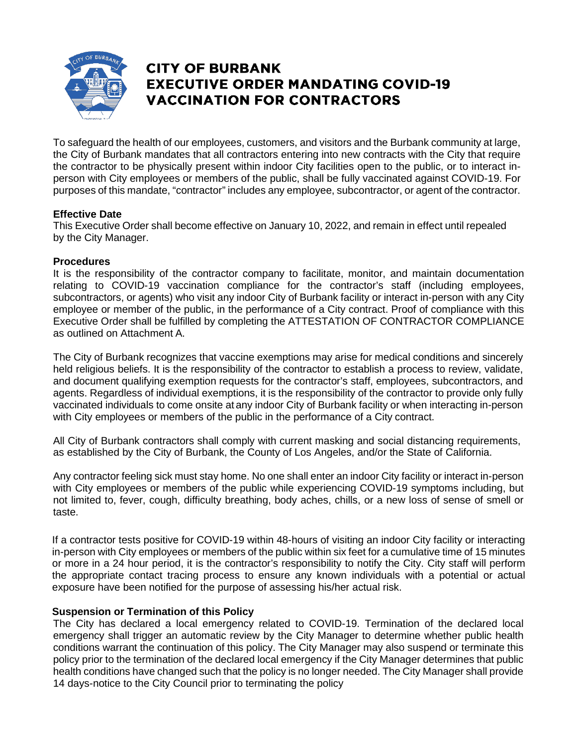

## **CITY OF BURBANK EXECUTIVE ORDER MANDATING COVID-19 VACCINATION FOR CONTRACTORS**

To safeguard the health of our employees, customers, and visitors and the Burbank community at large, the City of Burbank mandates that all contractors entering into new contracts with the City that require the contractor to be physically present within indoor City facilities open to the public, or to interact inperson with City employees or members of the public, shall be fully vaccinated against COVID-19. For purposes of this mandate, "contractor" includes any employee, subcontractor, or agent of the contractor.

#### **Effective Date**

This Executive Order shall become effective on January 10, 2022, and remain in effect until repealed by the City Manager.

#### **Procedures**

It is the responsibility of the contractor company to facilitate, monitor, and maintain documentation relating to COVID-19 vaccination compliance for the contractor's staff (including employees, subcontractors, or agents) who visit any indoor City of Burbank facility or interact in-person with any City employee or member of the public, in the performance of a City contract. Proof of compliance with this Executive Order shall be fulfilled by completing the ATTESTATION OF CONTRACTOR COMPLIANCE as outlined on Attachment A.

The City of Burbank recognizes that vaccine exemptions may arise for medical conditions and sincerely held religious beliefs. It is the responsibility of the contractor to establish a process to review, validate, and document qualifying exemption requests for the contractor's staff, employees, subcontractors, and agents. Regardless of individual exemptions, it is the responsibility of the contractor to provide only fully vaccinated individuals to come onsite at any indoor City of Burbank facility or when interacting in-person with City employees or members of the public in the performance of a City contract.

All City of Burbank contractors shall comply with current masking and social distancing requirements, as established by the City of Burbank, the County of Los Angeles, and/or the State of California.

Any contractor feeling sick must stay home. No one shall enter an indoor City facility or interact in-person with City employees or members of the public while experiencing COVID-19 symptoms including, but not limited to, fever, cough, difficulty breathing, body aches, chills, or a new loss of sense of smell or taste.

If a contractor tests positive for COVID-19 within 48-hours of visiting an indoor City facility or interacting in-person with City employees or members of the public within six feet for a cumulative time of 15 minutes or more in a 24 hour period, it is the contractor's responsibility to notify the City. City staff will perform the appropriate contact tracing process to ensure any known individuals with a potential or actual exposure have been notified for the purpose of assessing his/her actual risk.

#### **Suspension or Termination of this Policy**

The City has declared a local emergency related to COVID-19. Termination of the declared local emergency shall trigger an automatic review by the City Manager to determine whether public health conditions warrant the continuation of this policy. The City Manager may also suspend or terminate this policy prior to the termination of the declared local emergency if the City Manager determines that public health conditions have changed such that the policy is no longer needed. The City Manager shall provide 14 days-notice to the City Council prior to terminating the policy